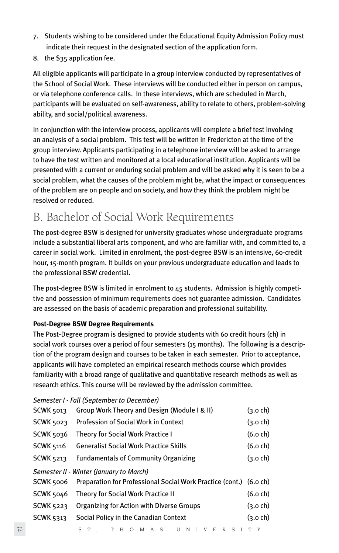- 7. Students wishing to be considered under the Educational Equity Admission Policy must indicate their request in the designated section of the application form.
- 8. the \$35 application fee.

All eligible applicants will participate in a group interview conducted by representatives of the School of Social Work. These interviews will be conducted either in person on campus, or via telephone conference calls. In these interviews, which are scheduled in March, participants will be evaluated on self-awareness, ability to relate to others, problem-solving ability, and social/political awareness.

In conjunction with the interview process, applicants will complete a brief test involving an analysis of a social problem. This test will be written in Fredericton at the time of the group interview. Applicants participating in a telephone interview will be asked to arrange to have the test written and monitored at a local educational institution. Applicants will be presented with a current or enduring social problem and will be asked why it is seen to be a social problem, what the causes of the problem might be, what the impact or consequences of the problem are on people and on society, and how they think the problem might be resolved or reduced.

# B. Bachelor of Social Work Requirements

The post-degree BSW is designed for university graduates whose undergraduate programs include a substantial liberal arts component, and who are familiar with, and committed to, a career in social work. Limited in enrolment, the post-degree BSW is an intensive, 60-credit hour, 15-month program. It builds on your previous undergraduate education and leads to the professional BSW credential.

The post-degree BSW is limited in enrolment to 45 students. Admission is highly competitive and possession of minimum requirements does not guarantee admission. Candidates are assessed on the basis of academic preparation and professional suitability.

# **Post-Degree BSW Degree Requirements**

The Post-Degree program is designed to provide students with 60 credit hours (ch) in social work courses over a period of four semesters (15 months). The following is a description of the program design and courses to be taken in each semester. Prior to acceptance, applicants will have completed an empirical research methods course which provides familiarity with a broad range of qualitative and quantitative research methods as well as research ethics. This course will be reviewed by the admission committee.

### *Semester I - Fall (September to December)*

|    | SCWK 5013                                                 | Group Work Theory and Design (Module I & II)                       | (3.o ch)           |
|----|-----------------------------------------------------------|--------------------------------------------------------------------|--------------------|
|    | SCWK 5023                                                 | Profession of Social Work in Context                               | (3.o ch)           |
|    | SCWK 5036                                                 | <b>Theory for Social Work Practice I</b>                           | $(6.0 \text{ ch})$ |
|    | SCWK 5116                                                 | <b>Generalist Social Work Practice Skills</b>                      | (6.0ch)            |
|    | <b>SCWK 5213</b>                                          | <b>Fundamentals of Community Organizing</b>                        | (3.o ch)           |
|    |                                                           | Semester II - Winter (January to March)                            |                    |
|    | SCWK 5006                                                 | Preparation for Professional Social Work Practice (cont.) (6.0 ch) |                    |
|    | SCWK 5046                                                 | Theory for Social Work Practice II                                 | (6.0ch)            |
|    | <b>SCWK 5223</b>                                          | Organizing for Action with Diverse Groups                          | (3.o ch)           |
|    | Social Policy in the Canadian Context<br><b>SCWK 5313</b> |                                                                    |                    |
| 70 |                                                           | T H O M A S<br>U N I V E R S I T Y                                 |                    |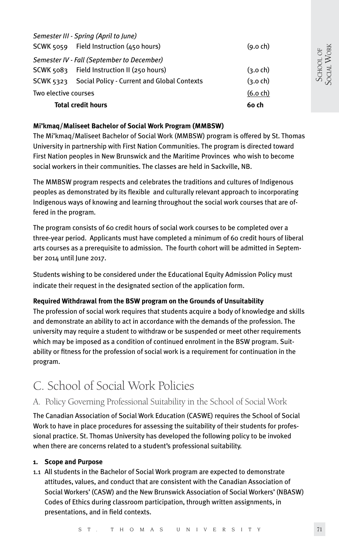|                           | Semester III - Spring (April to June)                 |                    |
|---------------------------|-------------------------------------------------------|--------------------|
|                           | SCWK 5059 Field Instruction (450 hours)               | $(9.0 \text{ ch})$ |
|                           | Semester IV - Fall (September to December)            |                    |
|                           | SCWK 5083 Field Instruction II (250 hours)            | $(3.0 \text{ ch})$ |
|                           | SCWK 5323 Social Policy - Current and Global Contexts | $(3.0 \text{ ch})$ |
| Two elective courses      | $(6.0 \text{ ch})$                                    |                    |
| <b>Total credit hours</b> | 6o ch                                                 |                    |

### **Mi'kmaq/Maliseet Bachelor of Social Work Program (MMBSW)**

The Mi'kmaq/Maliseet Bachelor of Social Work (MMBSW) program is offered by St. Thomas University in partnership with First Nation Communities. The program is directed toward First Nation peoples in New Brunswick and the Maritime Provinces who wish to become social workers in their communities. The classes are held in Sackville, NB.

The MMBSW program respects and celebrates the traditions and cultures of Indigenous peoples as demonstrated by its flexible and culturally relevant approach to incorporating Indigenous ways of knowing and learning throughout the social work courses that are offered in the program.

The program consists of 60 credit hours of social work courses to be completed over a three-year period. Applicants must have completed a minimum of 60 credit hours of liberal arts courses as a prerequisite to admission. The fourth cohort will be admitted in September 2014 until June 2017.

Students wishing to be considered under the Educational Equity Admission Policy must indicate their request in the designated section of the application form.

### **Required Withdrawal from the BSW program on the Grounds of Unsuitability**

The profession of social work requires that students acquire a body of knowledge and skills and demonstrate an ability to act in accordance with the demands of the profession. The university may require a student to withdraw or be suspended or meet other requirements which may be imposed as a condition of continued enrolment in the BSW program. Suitability or fitness for the profession of social work is a requirement for continuation in the program.

# C. School of Social Work Policies

# A. Policy Governing Professional Suitability in the School of Social Work

The Canadian Association of Social Work Education (CASWE) requires the School of Social Work to have in place procedures for assessing the suitability of their students for professional practice. St. Thomas University has developed the following policy to be invoked when there are concerns related to a student's professional suitability.

#### **1. Scope and Purpose**

1.1 All students in the Bachelor of Social Work program are expected to demonstrate attitudes, values, and conduct that are consistent with the Canadian Association of Social Workers' (CASW) and the New Brunswick Association of Social Workers' (NBASW) Codes of Ethics during classroom participation, through written assignments, in presentations, and in field contexts.

SCHOOL OF SOCIAL WORK

SCHOOL OF<br>SOCIAL WORK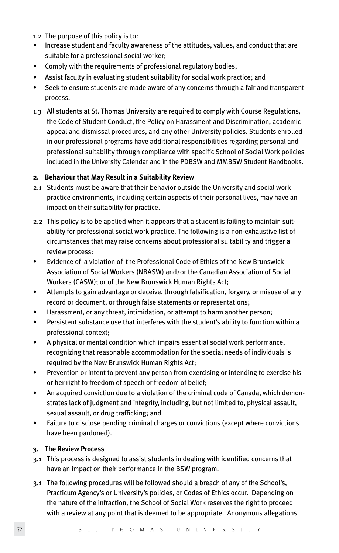- 1.2 The purpose of this policy is to:
- Increase student and faculty awareness of the attitudes, values, and conduct that are suitable for a professional social worker;
- Comply with the requirements of professional regulatory bodies;
- Assist faculty in evaluating student suitability for social work practice; and
- Seek to ensure students are made aware of any concerns through a fair and transparent process.
- 1.3 All students at St. Thomas University are required to comply with Course Regulations, the Code of Student Conduct, the Policy on Harassment and Discrimination, academic appeal and dismissal procedures, and any other University policies. Students enrolled in our professional programs have additional responsibilities regarding personal and professional suitability through compliance with specific School of Social Work policies included in the University Calendar and in the PDBSW and MMBSW Student Handbooks.

### **2. Behaviour that May Result in a Suitability Review**

- 2.1 Students must be aware that their behavior outside the University and social work practice environments, including certain aspects of their personal lives, may have an impact on their suitability for practice.
- 2.2 This policy is to be applied when it appears that a student is failing to maintain suitability for professional social work practice. The following is a non-exhaustive list of circumstances that may raise concerns about professional suitability and trigger a review process:
- Evidence of a violation of the Professional Code of Ethics of the New Brunswick Association of Social Workers (NBASW) and/or the Canadian Association of Social Workers (CASW); or of the New Brunswick Human Rights Act;
- Attempts to gain advantage or deceive, through falsification, forgery, or misuse of any record or document, or through false statements or representations;
- Harassment, or any threat, intimidation, or attempt to harm another person;
- Persistent substance use that interferes with the student's ability to function within a professional context;
- A physical or mental condition which impairs essential social work performance, recognizing that reasonable accommodation for the special needs of individuals is required by the New Brunswick Human Rights Act;
- Prevention or intent to prevent any person from exercising or intending to exercise his or her right to freedom of speech or freedom of belief;
- An acquired conviction due to a violation of the criminal code of Canada, which demonstrates lack of judgment and integrity, including, but not limited to, physical assault, sexual assault, or drug trafficking; and
- Failure to disclose pending criminal charges or convictions (except where convictions have been pardoned).

### **3. The Review Process**

- 3.1 This process is designed to assist students in dealing with identified concerns that have an impact on their performance in the BSW program.
- 3.1 The following procedures will be followed should a breach of any of the School's, Practicum Agency's or University's policies, or Codes of Ethics occur. Depending on the nature of the infraction, the School of Social Work reserves the right to proceed with a review at any point that is deemed to be appropriate. Anonymous allegations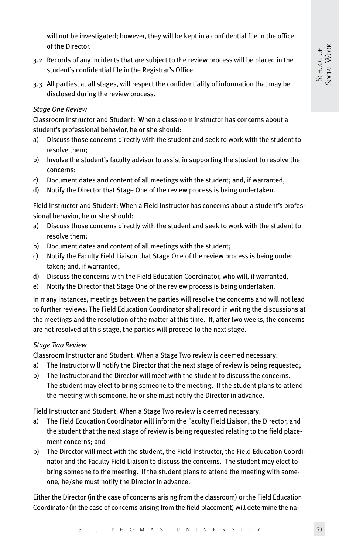will not be investigated; however, they will be kept in a confidential file in the office of the Director.

- 3.2 Records of any incidents that are subject to the review process will be placed in the student's confidential file in the Registrar's Office.
- 3.3 All parties, at all stages, will respect the confidentiality of information that may be disclosed during the review process.

## *Stage One Review*

Classroom Instructor and Student: When a classroom instructor has concerns about a student's professional behavior, he or she should:

- a) Discuss those concerns directly with the student and seek to work with the student to resolve them;
- b) Involve the student's faculty advisor to assist in supporting the student to resolve the concerns;
- c) Document dates and content of all meetings with the student; and, if warranted,
- d) Notify the Director that Stage One of the review process is being undertaken.

Field Instructor and Student: When a Field Instructor has concerns about a student's professional behavior, he or she should:

- a) Discuss those concerns directly with the student and seek to work with the student to resolve them;
- b) Document dates and content of all meetings with the student;
- c) Notify the Faculty Field Liaison that Stage One of the review process is being under taken; and, if warranted,
- d) Discuss the concerns with the Field Education Coordinator, who will, if warranted,
- e) Notify the Director that Stage One of the review process is being undertaken.

In many instances, meetings between the parties will resolve the concerns and will not lead to further reviews. The Field Education Coordinator shall record in writing the discussions at the meetings and the resolution of the matter at this time. If, after two weeks, the concerns are not resolved at this stage, the parties will proceed to the next stage.

### *Stage Two Review*

Classroom Instructor and Student. When a Stage Two review is deemed necessary:

- a) The Instructor will notify the Director that the next stage of review is being requested;
- b) The Instructor and the Director will meet with the student to discuss the concerns. The student may elect to bring someone to the meeting. If the student plans to attend the meeting with someone, he or she must notify the Director in advance.

Field Instructor and Student. When a Stage Two review is deemed necessary:

- a) The Field Education Coordinator will inform the Faculty Field Liaison, the Director, and the student that the next stage of review is being requested relating to the field placement concerns; and
- b) The Director will meet with the student, the Field Instructor, the Field Education Coordinator and the Faculty Field Liaison to discuss the concerns. The student may elect to bring someone to the meeting. If the student plans to attend the meeting with someone, he/she must notify the Director in advance.

Either the Director (in the case of concerns arising from the classroom) or the Field Education Coordinator (in the case of concerns arising from the field placement) will determine the na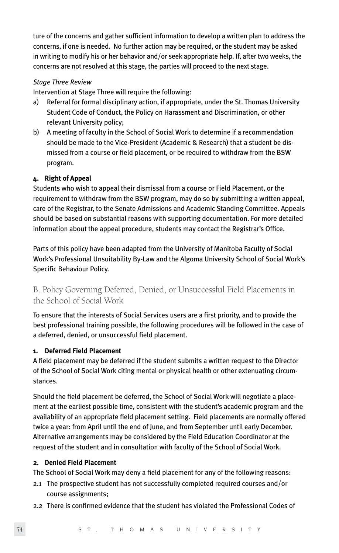ture of the concerns and gather sufficient information to develop a written plan to address the concerns, if one is needed. No further action may be required, or the student may be asked in writing to modify his or her behavior and/or seek appropriate help. If, after two weeks, the concerns are not resolved at this stage, the parties will proceed to the next stage.

### *Stage Three Review*

Intervention at Stage Three will require the following:

- a) Referral for formal disciplinary action, if appropriate, under the St. Thomas University Student Code of Conduct, the Policy on Harassment and Discrimination, or other relevant University policy;
- b) A meeting of faculty in the School of Social Work to determine if a recommendation should be made to the Vice-President (Academic & Research) that a student be dismissed from a course or field placement, or be required to withdraw from the BSW program.

# **4. Right of Appeal**

Students who wish to appeal their dismissal from a course or Field Placement, or the requirement to withdraw from the BSW program, may do so by submitting a written appeal, care of the Registrar, to the Senate Admissions and Academic Standing Committee. Appeals should be based on substantial reasons with supporting documentation. For more detailed information about the appeal procedure, students may contact the Registrar's Office.

Parts of this policy have been adapted from the University of Manitoba Faculty of Social Work's Professional Unsuitability By-Law and the Algoma University School of Social Work's Specific Behaviour Policy.

# B. Policy Governing Deferred, Denied, or Unsuccessful Field Placements in the School of Social Work

To ensure that the interests of Social Services users are a first priority, and to provide the best professional training possible, the following procedures will be followed in the case of a deferred, denied, or unsuccessful field placement.

# **1. Deferred Field Placement**

A field placement may be deferred if the student submits a written request to the Director of the School of Social Work citing mental or physical health or other extenuating circumstances.

Should the field placement be deferred, the School of Social Work will negotiate a placement at the earliest possible time, consistent with the student's academic program and the availability of an appropriate field placement setting. Field placements are normally offered twice a year: from April until the end of June, and from September until early December. Alternative arrangements may be considered by the Field Education Coordinator at the request of the student and in consultation with faculty of the School of Social Work.

## **2. Denied Field Placement**

The School of Social Work may deny a field placement for any of the following reasons:

- 2.1 The prospective student has not successfully completed required courses and/or course assignments;
- 2.2 There is confirmed evidence that the student has violated the Professional Codes of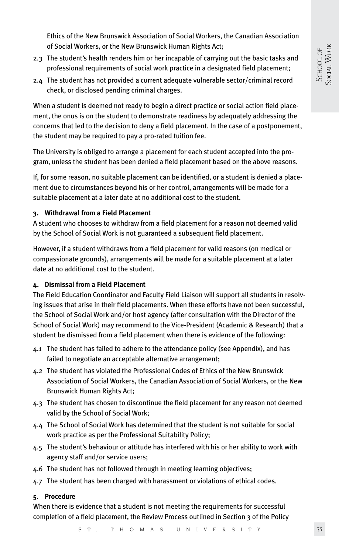Ethics of the New Brunswick Association of Social Workers, the Canadian Association of Social Workers, or the New Brunswick Human Rights Act;

- 2.3 The student's health renders him or her incapable of carrying out the basic tasks and professional requirements of social work practice in a designated field placement;
- 2.4 The student has not provided a current adequate vulnerable sector/criminal record check, or disclosed pending criminal charges.

When a student is deemed not ready to begin a direct practice or social action field placement, the onus is on the student to demonstrate readiness by adequately addressing the concerns that led to the decision to deny a field placement. In the case of a postponement, the student may be required to pay a pro-rated tuition fee.

The University is obliged to arrange a placement for each student accepted into the program, unless the student has been denied a field placement based on the above reasons.

If, for some reason, no suitable placement can be identified, or a student is denied a placement due to circumstances beyond his or her control, arrangements will be made for a suitable placement at a later date at no additional cost to the student.

# **3. Withdrawal from a Field Placement**

A student who chooses to withdraw from a field placement for a reason not deemed valid by the School of Social Work is not guaranteed a subsequent field placement.

However, if a student withdraws from a field placement for valid reasons (on medical or compassionate grounds), arrangements will be made for a suitable placement at a later date at no additional cost to the student.

# **4. Dismissal from a Field Placement**

The Field Education Coordinator and Faculty Field Liaison will support all students in resolving issues that arise in their field placements. When these efforts have not been successful, the School of Social Work and/or host agency (after consultation with the Director of the School of Social Work) may recommend to the Vice-President (Academic & Research) that a student be dismissed from a field placement when there is evidence of the following:

- 4.1 The student has failed to adhere to the attendance policy (see Appendix), and has failed to negotiate an acceptable alternative arrangement;
- 4.2 The student has violated the Professional Codes of Ethics of the New Brunswick Association of Social Workers, the Canadian Association of Social Workers, or the New Brunswick Human Rights Act;
- 4.3 The student has chosen to discontinue the field placement for any reason not deemed valid by the School of Social Work;
- 4.4 The School of Social Work has determined that the student is not suitable for social work practice as per the Professional Suitability Policy;
- 4.5 The student's behaviour or attitude has interfered with his or her ability to work with agency staff and/or service users;
- 4.6 The student has not followed through in meeting learning objectives;
- 4.7 The student has been charged with harassment or violations of ethical codes.

# **5. Procedure**

When there is evidence that a student is not meeting the requirements for successful completion of a field placement, the Review Process outlined in Section 3 of the Policy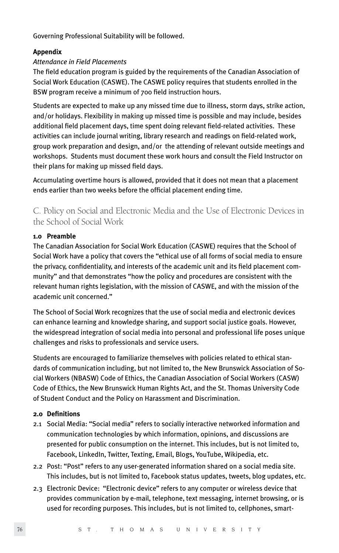Governing Professional Suitability will be followed.

# **Appendix**

# *Attendance in Field Placements*

The field education program is guided by the requirements of the Canadian Association of Social Work Education (CASWE). The CASWE policy requires that students enrolled in the BSW program receive a minimum of 700 field instruction hours.

Students are expected to make up any missed time due to illness, storm days, strike action, and/or holidays. Flexibility in making up missed time is possible and may include, besides additional field placement days, time spent doing relevant field-related activities. These activities can include journal writing, library research and readings on field-related work, group work preparation and design, and/or the attending of relevant outside meetings and workshops. Students must document these work hours and consult the Field Instructor on their plans for making up missed field days.

Accumulating overtime hours is allowed, provided that it does not mean that a placement ends earlier than two weeks before the official placement ending time.

C. Policy on Social and Electronic Media and the Use of Electronic Devices in the School of Social Work

# **1.0 Preamble**

The Canadian Association for Social Work Education (CASWE) requires that the School of Social Work have a policy that covers the "ethical use of all forms of social media to ensure the privacy, confidentiality, and interests of the academic unit and its field placement community" and that demonstrates "how the policy and procedures are consistent with the relevant human rights legislation, with the mission of CASWE, and with the mission of the academic unit concerned."

The School of Social Work recognizes that the use of social media and electronic devices can enhance learning and knowledge sharing, and support social justice goals. However, the widespread integration of social media into personal and professional life poses unique challenges and risks to professionals and service users.

Students are encouraged to familiarize themselves with policies related to ethical standards of communication including, but not limited to, the New Brunswick Association of Social Workers (NBASW) Code of Ethics, the Canadian Association of Social Workers (CASW) Code of Ethics, the New Brunswick Human Rights Act, and the St. Thomas University Code of Student Conduct and the Policy on Harassment and Discrimination.

# **2.0 Definitions**

- 2.1 Social Media: "Social media" refers to socially interactive networked information and communication technologies by which information, opinions, and discussions are presented for public consumption on the internet. This includes, but is not limited to, Facebook, LinkedIn, Twitter, Texting, Email, Blogs, YouTube, Wikipedia, etc.
- 2.2 Post: "Post" refers to any user-generated information shared on a social media site. This includes, but is not limited to, Facebook status updates, tweets, blog updates, etc.
- 2.3 Electronic Device: "Electronic device" refers to any computer or wireless device that provides communication by e-mail, telephone, text messaging, internet browsing, or is used for recording purposes. This includes, but is not limited to, cellphones, smart-